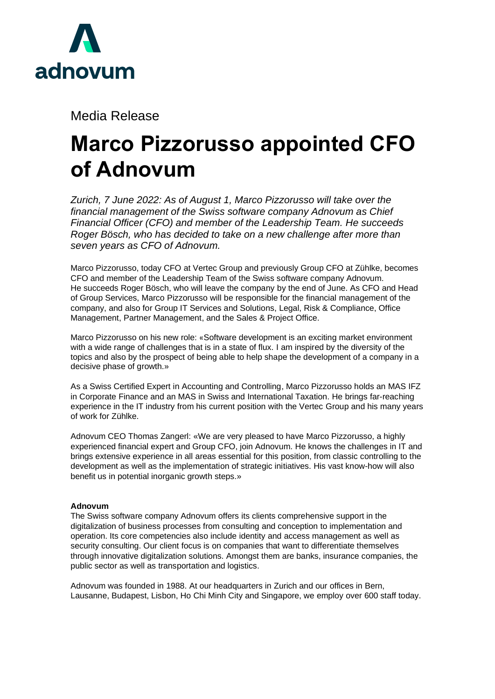

Media Release

## **Marco Pizzorusso appointed CFO of Adnovum**

*Zurich, 7 June 2022: As of August 1, Marco Pizzorusso will take over the financial management of the Swiss software company Adnovum as Chief Financial Officer (CFO) and member of the Leadership Team. He succeeds Roger Bösch, who has decided to take on a new challenge after more than seven years as CFO of Adnovum.*

Marco Pizzorusso, today CFO at Vertec Group and previously Group CFO at Zühlke, becomes CFO and member of the Leadership Team of the Swiss software company Adnovum. He succeeds Roger Bösch, who will leave the company by the end of June. As CFO and Head of Group Services, Marco Pizzorusso will be responsible for the financial management of the company, and also for Group IT Services and Solutions, Legal, Risk & Compliance, Office Management, Partner Management, and the Sales & Project Office.

Marco Pizzorusso on his new role: «Software development is an exciting market environment with a wide range of challenges that is in a state of flux. I am inspired by the diversity of the topics and also by the prospect of being able to help shape the development of a company in a decisive phase of growth.»

As a Swiss Certified Expert in Accounting and Controlling, Marco Pizzorusso holds an MAS IFZ in Corporate Finance and an MAS in Swiss and International Taxation. He brings far-reaching experience in the IT industry from his current position with the Vertec Group and his many years of work for Zühlke.

Adnovum CEO Thomas Zangerl: «We are very pleased to have Marco Pizzorusso, a highly experienced financial expert and Group CFO, join Adnovum. He knows the challenges in IT and brings extensive experience in all areas essential for this position, from classic controlling to the development as well as the implementation of strategic initiatives. His vast know-how will also benefit us in potential inorganic growth steps.»

## **Adnovum**

The Swiss software company Adnovum offers its clients comprehensive support in the digitalization of business processes from consulting and conception to implementation and operation. Its core competencies also include identity and access management as well as security consulting. Our client focus is on companies that want to differentiate themselves through innovative digitalization solutions. Amongst them are banks, insurance companies, the public sector as well as transportation and logistics.

Adnovum was founded in 1988. At our headquarters in Zurich and our offices in Bern, Lausanne, Budapest, Lisbon, Ho Chi Minh City and Singapore, we employ over 600 staff today.